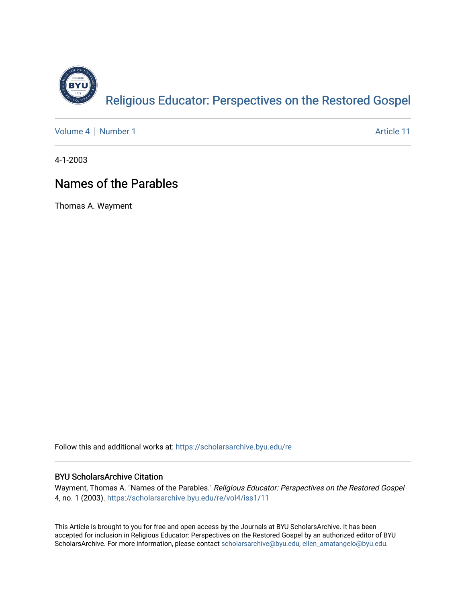

[Volume 4](https://scholarsarchive.byu.edu/re/vol4) | [Number 1](https://scholarsarchive.byu.edu/re/vol4/iss1) Article 11

4-1-2003

#### Names of the Parables

Thomas A. Wayment

Follow this and additional works at: [https://scholarsarchive.byu.edu/re](https://scholarsarchive.byu.edu/re?utm_source=scholarsarchive.byu.edu%2Fre%2Fvol4%2Fiss1%2F11&utm_medium=PDF&utm_campaign=PDFCoverPages)

#### BYU ScholarsArchive Citation

Wayment, Thomas A. "Names of the Parables." Religious Educator: Perspectives on the Restored Gospel 4, no. 1 (2003). [https://scholarsarchive.byu.edu/re/vol4/iss1/11](https://scholarsarchive.byu.edu/re/vol4/iss1/11?utm_source=scholarsarchive.byu.edu%2Fre%2Fvol4%2Fiss1%2F11&utm_medium=PDF&utm_campaign=PDFCoverPages) 

This Article is brought to you for free and open access by the Journals at BYU ScholarsArchive. It has been accepted for inclusion in Religious Educator: Perspectives on the Restored Gospel by an authorized editor of BYU ScholarsArchive. For more information, please contact [scholarsarchive@byu.edu, ellen\\_amatangelo@byu.edu.](mailto:scholarsarchive@byu.edu,%20ellen_amatangelo@byu.edu)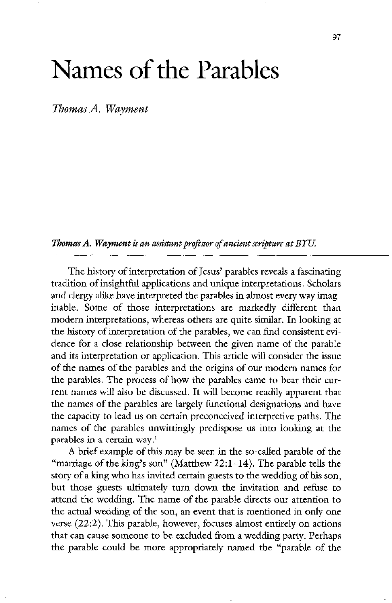# Names of the Parables

Thomas A. Wayment

Thomas  $A$ . Wayment is an assistant professor of ancient scripture at  $B\Upsilon U$ .

The history of interpretation of Jesus' parables reveals a fascinating tradition of insightful applications and unique interpretations. Scholars and clergy alike have interpreted the parables in almost every way imaginable. Some of those interpretations are markedly different than modern interpretations, whereas others are quite similar. In looking at the history of interpretation of the parables, we can find consistent evidence for a close relationship between the given name of the parable and its interpretation or application. This article will consider the issue of the names of the parables and the origins of our modern names for the parables. The process of how the parables came to bear their current names will also be discussed. It will become readily apparent that the names of the parables are largely functional designations and have the capacity to lead us on certain preconceived interpretive paths. The names of the parables unwittingly predispose us into looking at the parables in a certain way. $<sup>1</sup>$ </sup> A brief example of this may be seen in the so-called parable of the "marriage of the king's son" (Matthew  $22:1-14$ ). The parable tells the story of a king who has invited certain guests to the wedding of his son but those guests ultimately turn down the invitation and refuse to attend the wedding. The name of the parable directs our attention to the actual wedding of the son, an event that is mentioned in only one verse  $(22.2)$ . This parable, however, focuses almost entirely on actions that can cause someone to be excluded from a wedding party. Perhaps the parable could be more appropriately named the "parable of the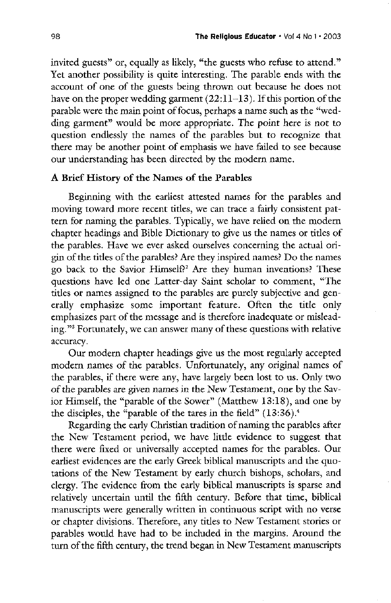invited guests" or, equally as likely, "the guests who refuse to attend." Yet another possibility is quite interesting. The parable ends with the account of one of the guests being thrown out because he does not have on the proper wedding garment  $(22:11-13)$ . If this portion of the parable were the main point of focus, perhaps a name such as the "wedding garment" would be more appropriate. The point here is not to question endlessly the names of the parables but to recognize that there may be another point of emphasis we have failed to see because our understanding has been directed by the modern name

#### A Brief History of the Names of the Parables

beginning with the earliest attested names for the parables and moving toward more recent titles, we can trace a fairly consistent pattern for naming the parables. Typically, we have relied on the modern chapter headings and Bible Dictionary to give us the names or titles of the parables. Have we ever asked ourselves concerning the actual origin of the titles of the parables? Are they inspired names? Do the names go back to the Savior Himself?<sup>2</sup> Are they human inventions? These questions have led one Latter-day Saint scholar to comment, "The titles or names assigned to the parables are purely subjective and generally emphasize some important feature. Often the title only emphasizes part of the message and is therefore inadequate or misleading."<sup>3</sup> Fortunately, we can answer many of these questions with relative accuracy Our modern chapter headings give us the most regularly accepted modern names of the parables. Unfortunately, any original names of the parables, if there were any, have largely been lost to us. Only two of the parables are given names in the New Testament, one by the Savior Himself, the "parable of the Sower" (Matthew 13:18), and one by the disciples, the "parable of the tares in the field"  $(13:36)$ .<sup>4</sup> Regarding the early Christian tradition of naming the parables after the New Testament period, we have little evidence to suggest that there were fixed or universally accepted names for the parables. Our earliest evidences are the early greek biblical manuscripts and the quotations of the New Testament by early church bishops, scholars, and clergy. The evidence from the early biblical manuscripts is sparse and relatively uncertain until the fifth century. Before that time, biblical manuscripts were generally written in continuous script with no verse or chapter divisions. Therefore, any titles to New Testament stories or parables would have had to be included in the margins. Around the turn of the fifth century, the trend began in New Testament manuscripts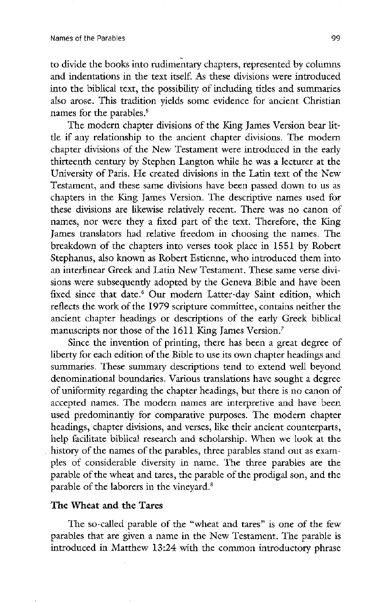to divide the books into rudimentary chapters, represented by columns and indentations in the text itself. As these divisions were introduced into the biblical text, the possibility of including titles and summaries also arose. This tradition yields some evidence for ancient Christian names for the parables.<sup>5</sup>

The modern chapter divisions of the King James Version bear little if any relationship to the ancient chapter divisions. The modern chapter divisions of the New Testament were introduced in the early thirteenth century by stephen langton while he was a lecturer at the University of Paris. He created divisions in the Latin text of the New Testament, and these same divisions have been passed down to us as chapters in the King James Version. The descriptive names used for these divisions are likewise relatively recent. There was no canon of names, nor were they a fixed part of the text. Therefore, the King James translators had relative freedom in choosing the names. The breakdown of the chapters into verses took place in 1551 by Robert Stephanus, also known as Robert Estienne, who introduced them into an interlinear Greek and Latin New Testament. These same verse divisions were subsequently adopted by the Geneva Bible and have been fixed since that date.<sup>6</sup> Our modern Latter-day Saint edition, which reflects the work of the 1979 scripture committee, contains neither the ancient chapter headings or descriptions of the early Greek biblical manuscripts nor those of the 1611 King James Version.<sup>7</sup> Since the invention of printing, there has been a great degree of liberty for each edition of the Bible to use its own chapter headings and summaries. These summary descriptions tend to extend well beyond denominational boundaries. Various translations have sought a degree of uniformity regarding the chapter headings, but there is no canon of accepted names. The modern names are interpretive and have been used predominantly for comparative purposes. The modern chapter headings, chapter divisions, and verses, like their ancient counterparts, help facilitate biblical research and scholarship. When we look at the history of the names of the parables, three parables stand out as examples of considerable diversity in name. The three parables are the parable of the wheat and tares, the parable of the prodigal son, and the parable of the laborers in the vineyard.<sup>8</sup>

#### The Wheat and the Tares

The so-called parable of the "wheat and tares" is one of the few parables that are given a name in the New Testament. The parable is introduced in Matthew 13:24 with the common introductory phrase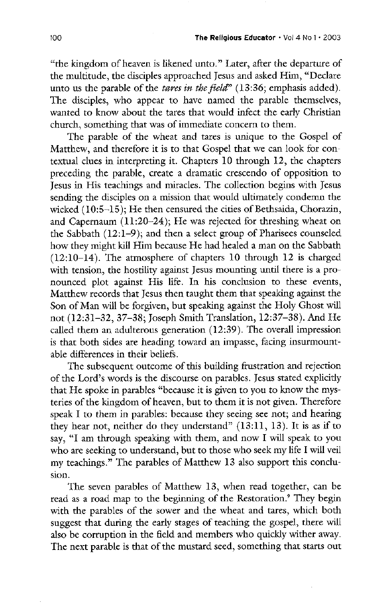"the kingdom of heaven is likened unto." Later, after the departure of the multitude, the disciples approached Jesus and asked Him, "Declare" unto us the parable of the *tares in the field*"  $(13:36;$  emphasis added). The disciples, who appear to have named the parable themselves, wanted to know about the tares that would infect the early christian church, something that was of immediate concern to them.

The parable of the wheat and tares is unique to the Gospel of Matthew, and therefore it is to that Gospel that we can look for contextual clues in interpreting it. Chapters 10 through 12, the chapters preceding the parable, create a dramatic crescendo of opposition to Jesus in His teachings and miracles. The collection begins with Jesus sending the disciples on a mission that would ultimately condemn the wicked  $(10:5-15)$ ; He then censured the cities of Bethsaida, Chorazin, and Capernaum  $(11:20-24)$ ; He was rejected for threshing wheat on the Sabbath  $(12:1-9)$ ; and then a select group of Pharisees counseled how they might kill Him because He had healed a man on the Sabbath  $(12:10-14)$ . The atmosphere of chapters 10 through 12 is charged with tension, the hostility against Jesus mounting until there is a pronounced plot against His life. In his conclusion to these events, matthew records that jesus then taught them that speaking against the Son of Man will be forgiven, but speaking against the Holy Ghost will not (12:31-32, 37-38; Joseph Smith Translation, 12:37-38). And He called them an adulterous generation  $(12:39)$ . The overall impression is that both sides are heading toward an impasse, facing insurmountable differences in their beliefs The subsequent outcome of this building frustration and rejection of the Lord's words is the discourse on parables. Jesus stated explicitly that He spoke in parables "because it is given to you to know the mysteries of the kingdom of heaven, but to them it is not given. Therefore speak I to them in parables: because they seeing see not; and hearing they hear not, neither do they understand"  $(13:11, 13)$ . It is as if to say, "I am through speaking with them, and now I will speak to you who are seeking to understand, but to those who seek my life I will veil my teachings." The parables of Matthew 13 also support this conclusion The seven parables of Matthew 13, when read together, can be read as a road map to the beginning of the Restoration.<sup>9</sup> They begin with the parables of the sower and the wheat and tares, which both suggest that during the early stages of teaching the gospel, there will also be corruption in the field and members who quickly wither away The next parable is that of the mustard seed, something that starts out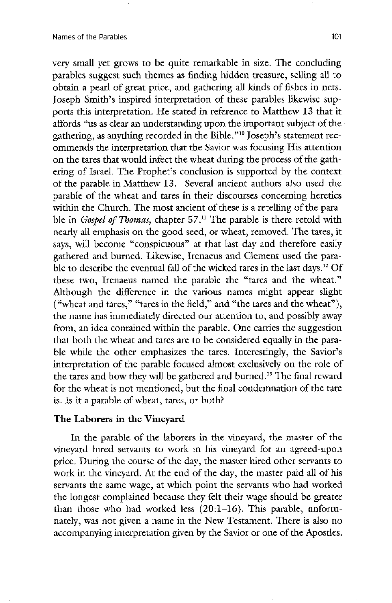very small yet grows to be quite remarkable in size. The concluding parables suggest such themes as finding hidden treasure, selling all to obtain a pearl of great price, and gathering all kinds of fishes in nets. Joseph Smith's inspired interpretation of these parables likewise supports this interpretation. He stated in reference to Matthew 13 that it affords "us as clear an understanding upon the important subject of the gathering, as anything recorded in the Bible."<sup>10</sup> Joseph's statement recommends the interpretation that the Savior was focusing His attention on the tares that would infect the wheat during the process of the gathering of Israel. The Prophet's conclusion is supported by the context of the parable in Matthew 13. Several ancient authors also used the parable of the wheat and tares in their discourses concerning heretics within the Church. The most ancient of these is a retelling of the parable in Gospel of Thomas, chapter 57.<sup>11</sup> The parable is there retold with nearly all emphasis on the good seed, or wheat, removed. The tares, it says, will become "conspicuous" at that last day and therefore easily gathered and burned. Likewise, Irenaeus and Clement used the parable to describe the eventual fall of the wicked tares in the last days.<sup>12</sup> Of these two, Irenaeus named the parable the "tares and the wheat." although the difference in the various names might appear slight ("wheat and tares," "tares in the field," and "the tares and the wheat"), the name has immediately directed our attention to, and possibly away from, an idea contained within the parable. One carries the suggestion that both the wheat and tares are to be considered equally in the parable while the other emphasizes the tares. Interestingly, the Savior's interpretation of the parable focused almost exclusively on the role of the tares and how they will be gathered and burned.<sup>13</sup> The final reward for the wheat is not mentioned, but the final condemnation of the tare is. Is it a parable of wheat, tares, or both?

## The Laborers in the Vineyard

In the parable of the laborers in the vineyard, the master of the vineyard hired servants to work in his vineyard for an agreed-upon price. During the course of the day, the master hired other servants to work in the vineyard. At the end of the day, the master paid all of his servants the same wage, at which point the servants who had worked the longest complained because they felt their wage should be greater than those who had worked less  $(20: 1-16)$ . This parable, unfortunately, was not given a name in the New Testament. There is also no accompanying interpretation given by the Savior or one of the Apostles.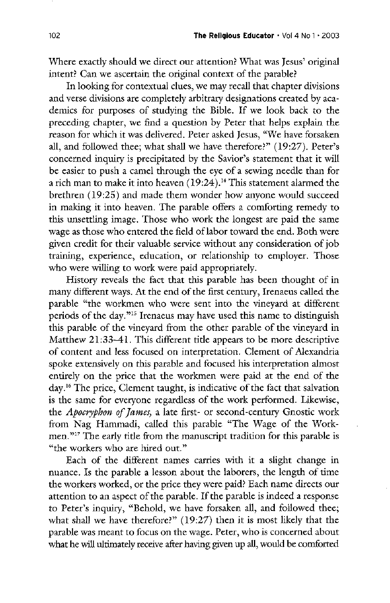Where exactly should we direct our attention? What was Jesus' original intent? Can we ascertain the original context of the parable?

In looking for contextual clues, we may recall that chapter divisions and verse divisions are completely arbitrary designations created by academics for purposes of studying the Bible. If we look back to the preceding chapter, we find a question by Peter that helps explain the reason for which it was delivered. Peter asked Jesus, "We have forsaken all, and followed thee; what shall we have therefore?"  $(19:27)$ . Peter's concerned inquiry is precipitated by the Savior's statement that it will be easier to push a camel through the eye of a sewing needle than for a rich man to make it into heaven  $(19:24)$ .<sup>14</sup> This statement alarmed the brethren (19:25) and made them wonder how anyone would succeed in making it into heaven. The parable offers a comforting remedy to this unsettling image. Those who work the longest are paid the same wage as those who entered the field of labor toward the end. Both were given credit for their valuable service without any consideration of job training, experience, education, or relationship to employer. Those who were willing to work were paid appropriately.

History reveals the fact that this parable has been thought of in many different ways. At the end of the first century, Irenaeus called the parable "the workmen who were sent into the vineyard at different periods of the day.<sup>345</sup> Irenaeus may have used this name to distinguish this parable of the vineyard from the other parable of the vineyard in Matthew  $21:33-41$ . This different title appears to be more descriptive of content and less focused on interpretation. Clement of Alexandria spoke extensively on this parable and focused his interpretation almost entirely on the price that the workmen were paid at the end of the day.<sup>16</sup> The price, Clement taught, is indicative of the fact that salvation is the same for everyone regardless of the work performed. Likewise, the *Apocryphon of James*, a late first- or second-century Gnostic work from Nag Hammadi, called this parable "The Wage of the Workmen."<sup>17</sup> The early title from the manuscript tradition for this parable is "the workers who are hired out." Each of the different names carries with it a slight change in nuance. Is the parable a lesson about the laborers, the length of time the workers worked, or the price they were paid? Each name directs our attention to an aspect of the parable. If the parable is indeed a response to Peter's inquiry, "Behold, we have forsaken all, and followed thee; what shall we have therefore?"  $(19:27)$  then it is most likely that the parable was meant to focus on the wage. Peter, who is concerned about what he will ultimately receive after having given up all, would be comforted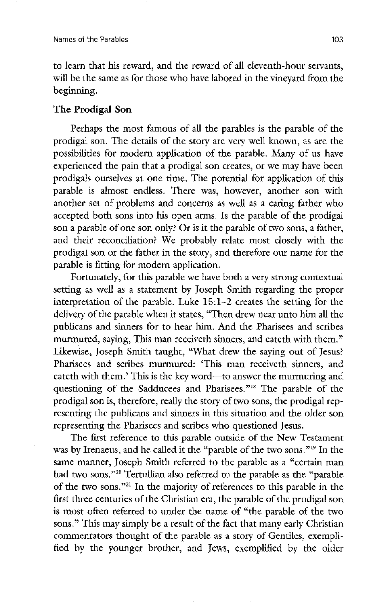to learn that his reward, and the reward of all eleventh-hour servants, will be the same as for those who have labored in the vineyard from the beginning

## The Prodigal Son

Perhaps the most famous of all the parables is the parable of the prodigal son. The details of the story are very well known, as are the possibilities for modern application of the parable. Many of us have experienced the pain that a prodigal son creates, or we may have been prodigals ourselves at one time. The potential for application of this parable is almost endless. There was, however, another son with another set of problems and concerns as well as a caring father who accepted both sons into his open arms. Is the parable of the prodigal son a parable of one son only? Or is it the parable of two sons, a father, and their reconciliation? We probably relate most closely with the prodigal son or the father in the story, and therefore our name for the parable is fitting for modern application.

Fortunately, for this parable we have both a very strong contextual setting as well as a statement by joseph smith regarding the proper interpretation of the parable. Luke  $15:1-2$  creates the setting for the delivery of the parable when it states, "Then drew near unto him all the publicans and sinners for to hear him. And the Pharisees and scribes murmured, saying, This man receiveth sinners, and eateth with them." Likewise, Joseph Smith taught, "What drew the saying out of Jesus? Pharisees and scribes murmured: 'This man receiveth sinners, and eateth with them.' This is the key word—to answer the murmuring and questioning of the Sadducees and Pharisees."<sup>18</sup> The parable of the prodigal son is, therefore, really the story of two sons, the prodigal representing the publicans and sinners in this situation and the older son representing the Pharisees and scribes who questioned Jesus. The first reference to this parable outside of the New Testament was by Irenaeus, and he called it the "parable of the two sons."<sup>19</sup> In the same manner, Joseph Smith referred to the parable as a "certain man had two sons."<sup>20</sup> Tertullian also referred to the parable as the "parable" of the two sons." $21$  In the majority of references to this parable in the first three centuries of the Christian era, the parable of the prodigal son is most often referred to under the name of "the parable of the two sons." This may simply be a result of the fact that many early Christian commentators thought of the parable as a story of Gentiles, exemplified by the younger brother, and Jews, exemplified by the older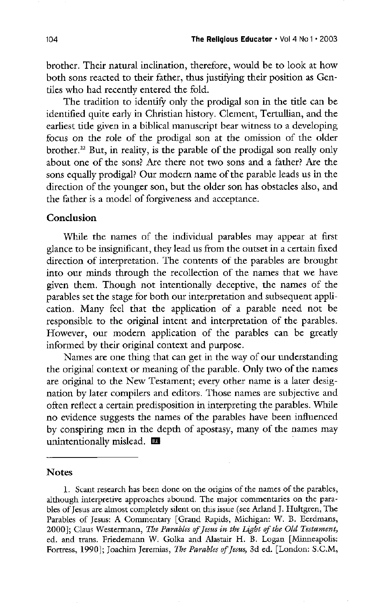brother. Their natural inclination, therefore, would be to look at how both sons reacted to their father, thus justifying their position as Gentiles who had recently entered the fold.

The tradition to identify only the prodigal son in the title can be identified quite early in Christian history. Clement, Tertullian, and the earliest title given in a biblical manuscript bear witness to a developing focus on the role of the prodigal son at the omission of the older brother.<sup>22</sup> But, in reality, is the parable of the prodigal son really only about one of the sons? Are there not two sons and a father? Are the sons equally prodigal? Our modern name of the parable leads us in the direction of the younger son, but the older son has obstacles also, and the father is a model of forgiveness and acceptance

#### **Conclusion**

while the names of the individual parables may appear at first glance to be insignificant, they lead us from the outset in a certain fixed direction of interpretation. The contents of the parables are brought into our minds through the recollection of the names that we have given them. Though not intentionally deceptive, the names of the parables set the stage for both our interpretation and subsequent application. Many feel that the application of a parable need not be responsible to the original intent and interpretation of the parables However, our modern application of the parables can be greatly informed by their original context and purpose Names are one thing that can get in the way of our understanding the original context or meaning of the parable. Only two of the names are original to the New Testament; every other name is a later designation by later compilers and editors. Those names are subjective and often reflect a certain predisposition in interpreting the parables. While no evidence suggests the names of the parables have been influenced by conspiring men in the depth of apostasy, many of the names may unintentionally mislead.  $\blacksquare$ 

#### **Notes**

1. Scant research has been done on the origins of the names of the parables, although interpretive approaches abound. The major commentaries on the parables of Jesus are almost completely silent on this issue (see Arland J. Hultgren, The Parables of Jesus: A Commentary [Grand Rapids, Michigan: W. B. Eerdmans, 2000]; Claus Westermann, The Parables of Jesus in the Light of the Old Testament, ed. and trans. Friedemann W. Golka and Alastair H. B. Logan [Minneapolis: Fortress, 1990]; Joachim Jeremias, The Parables of Jesus, 3d ed. [London: S.C.M,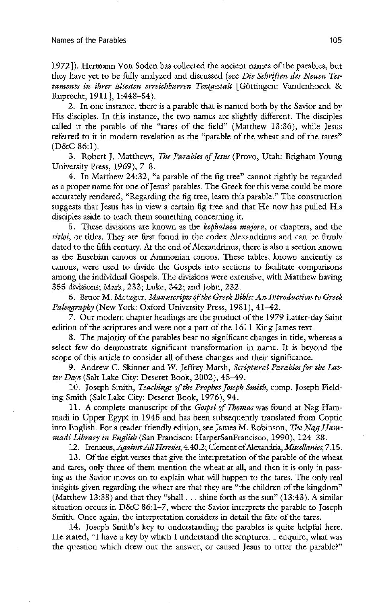1972]). Hermann Von Soden has collected the ancient names of the parables, but they have yet to be fully analyzed and discussed (see Die Schriften des Neuen Testaments in ihrer ältesten erreichbarren Textgestalt [Göttingen: Vandenhoeck & Ruprecht, 1911], 1:448–54).

2. In one instance, there is a parable that is named both by the Savior and by His disciples. In this instance, the two names are slightly different. The disciples called it the parable of the "tares of the field" (Matthew  $13:36$ ), while Jesus referred to it in modern revelation as the "parable of the wheat and of the tares"  $(D&C 86:1).$ 

3. Robert J. Matthews, The Parables of Jesus (Provo, Utah: Brigham Young University Press,  $1969$ ,  $7-8$ .

4. In Matthew 24:32, "a parable of the fig tree" cannot rightly be regarded as a proper name for one of Jesus' parables. The Greek for this verse could be more accurately rendered, "Regarding the fig tree, learn this parable." The construction suggests that Jesus has in view a certain fig tree and that He now has pulled His disciples aside to teach them something concerning it

5. These divisions are known as the *kephalaia majora*, or chapters, and the titloi, or titles. They are first found in the codex Alexandrinus and can be firmly dated to the fifth century. At the end of Alexandrinus, there is also a section known as the Eusebian canons or Ammonian canons. These tables, known anciently as canons, were used to divide the Gospels into sections to facilitate comparisons among the individual Gospels. The divisions were extensive, with Matthew having 355 divisions; Mark, 233; Luke, 342; and John, 232.

6. Bruce M. Metzger, Manuscripts of the Greek Bible: An Introduction to Greek Paleography (New York: Oxford University Press, 1981), 41-42.

7. Our modern chapter headings are the product of the 1979 Latter-day Saint edition of the scriptures and were not a part of the 1611 King James text.

8. The majority of the parables bear no significant changes in title, whereas a select few do demonstrate significant transformation in name. It is beyond the scope of this article to consider all of these changes and their significance.

9. Andrew C. Skinner and W. Jeffrey Marsh, Scriptural Parables for the Latter Days (Salt Lake City: Deseret Book, 2002),  $45 - 49$ .

10. Joseph Smith, Teachings of the Prophet Joseph Smith, comp. Joseph Fielding Smith (Salt Lake City: Deseret Book, 1976), 94.

11. A complete manuscript of the Gospel of Thomas was found at Nag Hammadi in Upper Egypt in 1945 and has been subsequently translated from Coptic into English. For a reader-friendly edition, see James M. Robinson, The Nag Hammadi Library in English (San Francisco: HarperSanFrancisco, 1990), 124-38.

12. Irenaeus, Against All Heresies, 4.40.2; Clement of Alexandria, Miscellanies, 7.15.

13. Of the eight verses that give the interpretation of the parable of the wheat and tares, only three of them mention the wheat at all, and then it is only in passing as the Savior moves on to explain what will happen to the tares. The only real insights given regarding the wheat are that they are "the children of the kingdom" (Matthew 13:38) and that they "shall  $\dots$  shine forth as the sun" (13:43). A similar situation occurs in D&C 86:1-7, where the Savior interprets the parable to Joseph Smith. Once again, the interpretation considers in detail the fate of the tares.

14. Joseph Smith's key to understanding the parables is quite helpful here. He stated, "I have a key by which I understand the scriptures. I enquire, what was the question which drew out the answer, or caused Jesus to utter the parable?"